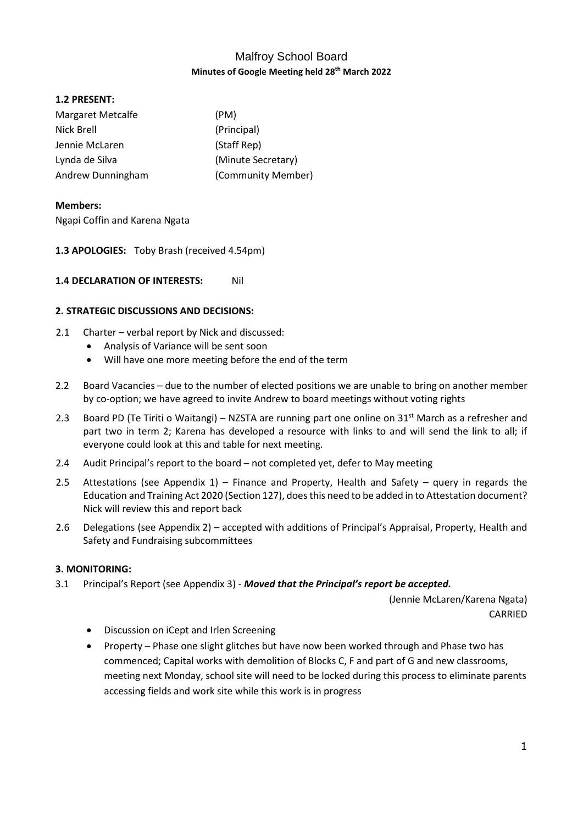# Malfroy School Board **Minutes of Google Meeting held 28th March 2022**

## **1.2 PRESENT:**

| <b>Margaret Metcalfe</b> | (PM)               |
|--------------------------|--------------------|
| Nick Brell               | (Principal)        |
| Jennie McLaren           | (Staff Rep)        |
| Lynda de Silva           | (Minute Secretary) |
| Andrew Dunningham        | (Community Member) |

## **Members:**

Ngapi Coffin and Karena Ngata

**1.3 APOLOGIES:** Toby Brash (received 4.54pm)

## **1.4 DECLARATION OF INTERESTS:** Nil

## **2. STRATEGIC DISCUSSIONS AND DECISIONS:**

- 2.1 Charter verbal report by Nick and discussed:
	- Analysis of Variance will be sent soon
	- Will have one more meeting before the end of the term
- 2.2 Board Vacancies due to the number of elected positions we are unable to bring on another member by co-option; we have agreed to invite Andrew to board meetings without voting rights
- 2.3 Board PD (Te Tiriti o Waitangi) NZSTA are running part one online on 31<sup>st</sup> March as a refresher and part two in term 2; Karena has developed a resource with links to and will send the link to all; if everyone could look at this and table for next meeting.
- 2.4 Audit Principal's report to the board not completed yet, defer to May meeting
- 2.5 Attestations (see Appendix 1) Finance and Property, Health and Safety query in regards the Education and Training Act 2020 (Section 127), does this need to be added in to Attestation document? Nick will review this and report back
- 2.6 Delegations (see Appendix 2) accepted with additions of Principal's Appraisal, Property, Health and Safety and Fundraising subcommittees

## **3. MONITORING:**

3.1 Principal's Report (see Appendix 3) - *Moved that the Principal's report be accepted.* 

(Jennie McLaren/Karena Ngata) CARRIED

- Discussion on iCept and Irlen Screening
- Property Phase one slight glitches but have now been worked through and Phase two has commenced; Capital works with demolition of Blocks C, F and part of G and new classrooms, meeting next Monday, school site will need to be locked during this process to eliminate parents accessing fields and work site while this work is in progress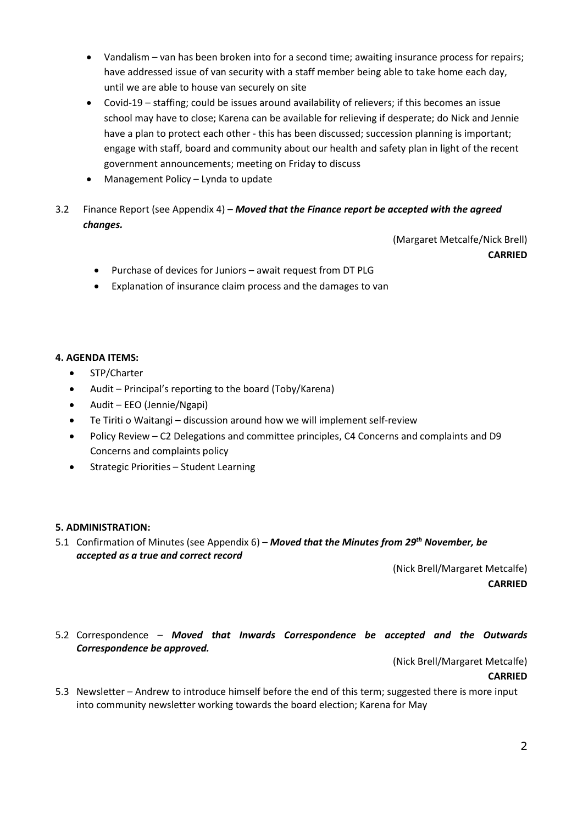- Vandalism van has been broken into for a second time; awaiting insurance process for repairs; have addressed issue of van security with a staff member being able to take home each day, until we are able to house van securely on site
- Covid-19 staffing; could be issues around availability of relievers; if this becomes an issue school may have to close; Karena can be available for relieving if desperate; do Nick and Jennie have a plan to protect each other - this has been discussed; succession planning is important; engage with staff, board and community about our health and safety plan in light of the recent government announcements; meeting on Friday to discuss
- Management Policy Lynda to update
- 3.2 Finance Report (see Appendix 4) *Moved that the Finance report be accepted with the agreed changes.*

(Margaret Metcalfe/Nick Brell) **CARRIED**

- Purchase of devices for Juniors await request from DT PLG
- Explanation of insurance claim process and the damages to van

## **4. AGENDA ITEMS:**

- STP/Charter
- Audit Principal's reporting to the board (Toby/Karena)
- Audit EEO (Jennie/Ngapi)
- Te Tiriti o Waitangi discussion around how we will implement self-review
- Policy Review C2 Delegations and committee principles, C4 Concerns and complaints and D9 Concerns and complaints policy
- **•** Strategic Priorities Student Learning

## **5. ADMINISTRATION:**

5.1 Confirmation of Minutes (see Appendix 6) – *Moved that the Minutes from 29 th November, be accepted as a true and correct record*

> (Nick Brell/Margaret Metcalfe) **CARRIED**

5.2 Correspondence – *Moved that Inwards Correspondence be accepted and the Outwards Correspondence be approved.*

(Nick Brell/Margaret Metcalfe)

**CARRIED**

5.3 Newsletter – Andrew to introduce himself before the end of this term; suggested there is more input into community newsletter working towards the board election; Karena for May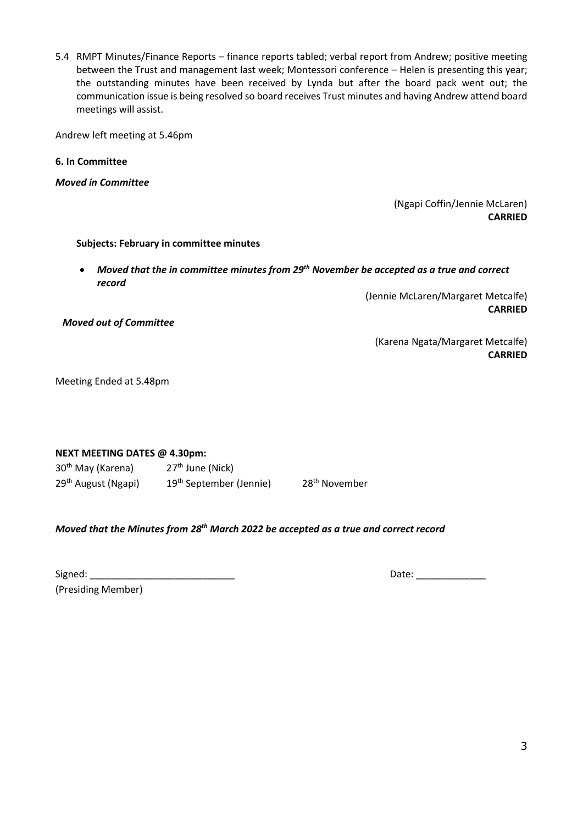5.4 RMPT Minutes/Finance Reports – finance reports tabled; verbal report from Andrew; positive meeting between the Trust and management last week; Montessori conference – Helen is presenting this year; the outstanding minutes have been received by Lynda but after the board pack went out; the communication issue is being resolved so board receives Trust minutes and having Andrew attend board meetings will assist.

Andrew left meeting at 5.46pm

**6. In Committee**

*Moved in Committee* 

(Ngapi Coffin/Jennie McLaren) **CARRIED**

#### **Subjects: February in committee minutes**

 *Moved that the in committee minutes from 29th November be accepted as a true and correct record*

> (Jennie McLaren/Margaret Metcalfe) **CARRIED**

*Moved out of Committee*

(Karena Ngata/Margaret Metcalfe) **CARRIED**

Meeting Ended at 5.48pm

#### **NEXT MEETING DATES @ 4.30pm:**

| 30 <sup>th</sup> May (Karena)   | $27th$ June (Nick)                  |                           |
|---------------------------------|-------------------------------------|---------------------------|
| 29 <sup>th</sup> August (Ngapi) | 19 <sup>th</sup> September (Jennie) | 28 <sup>th</sup> November |

### *Moved that the Minutes from 28 th March 2022 be accepted as a true and correct record*

(Presiding Member)

Date:  $\Box$